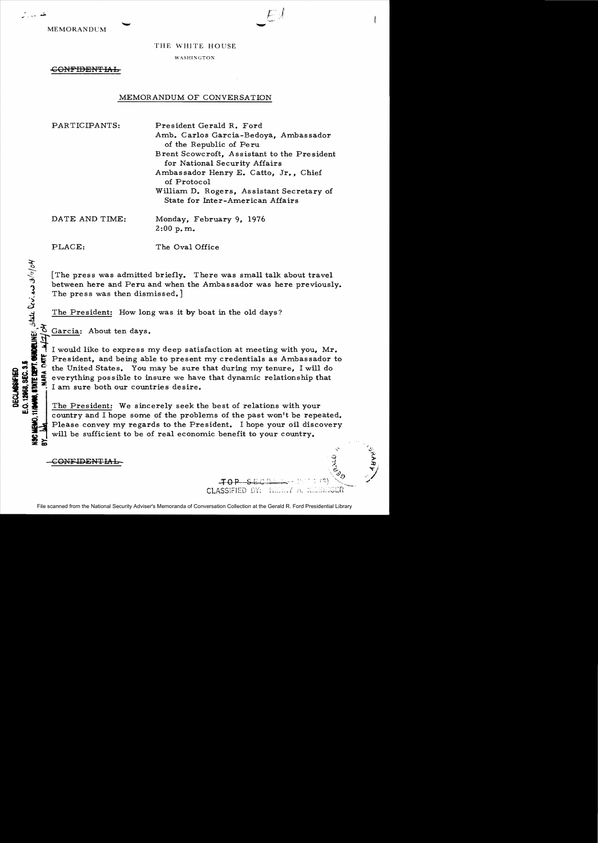MEMORANDUM

تتمرين

## THE WHITE HOUSE

WASHINGTON

<del>CONFIDENTIAL</del>

## MEMORANDUM OF CONVERSATION

PARTICIPANTS: President Gerald R. Ford

Amb. Carlos Garcia-Bedoya, Ambassador of the Republic of Pe ru Brent Scowcroft, Assistant to the President for National Security Affairs Ambassador Henry E. Catto, Jr., Chief of Protocol William D. Rogers, Assistant Secretary of State for Inter-American Affairs

DATE AND TIME: Monday, February 9, 1976 2:00 p. m.

**CALC DEPT. CHADELINES** State Deviews 3/11/04

PLACE: The Oval Office

[The press was admitted briefly. There was small talk about travel between here and Peru and when the Ambassador was here previously. The press was then dismissed.

The President: How long was it by boat in the old days?

 $\delta$  Garcia: About ten days.

I would like to express my deep satisfaction at meeting with you, Mr. The President, and being able to present my credentials as Ambassador to<br>
so the United States. You may be sure that during my tenure, I will do<br>
so the everything possible to insure we have that dynamic relationship that<br> or it can be United States. You may be sure that during my tenure, I will do  $\frac{1}{2}$  everything possible to insure we have that dynamic relationship that  $\frac{1}{2}$  or  $\frac{1}{2}$ . I am sure both our countries desire. I am sure both our countries desire.

The President: We sincerely seek the best of relations with your country and I hope some of the problems of the past won't be repeated. Please convey my regards to the President. I hope your oil discovery will be sufficient to be of real economic benefit to your country.

C<del>ONEIDENTIAL</del>

File scanned from the National Security Adviser's Memoranda of Conversation Collection at the Gerald R. Ford Presidential Library

*t,,-.,...* 

 $\frac{1}{2}$ 

 $C$ LASSIFIED BY:  $E$ E $E$ .  $(T \wedge T)$ . K. SETGER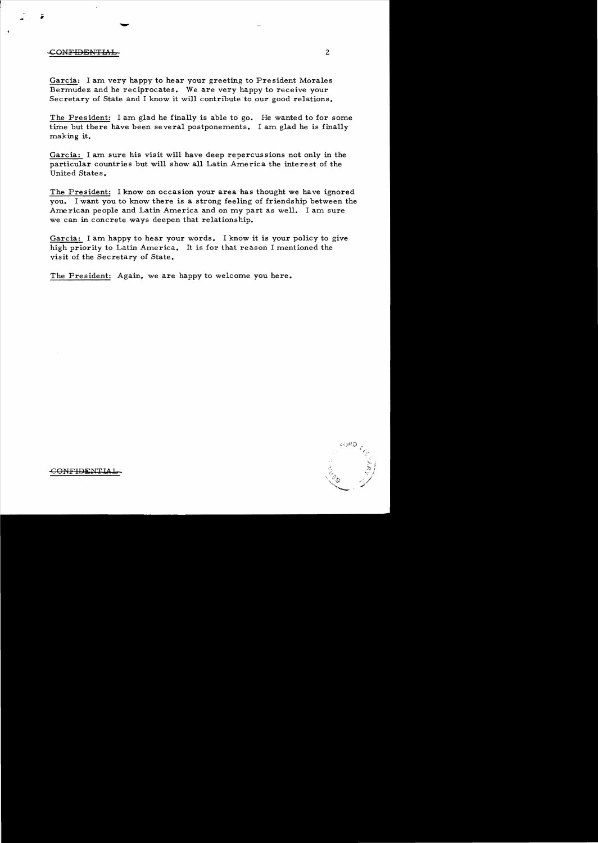## CONFIDENTIAb 2

i

Garcia: I am very happy to hear your greeting to President Morales Bermudez and he reciprocates. We are very happy to receive your Secretary of State and I know it will contribute to our good relations.

The President: I am glad he finally is able to go. He wanted to for some time but there have been several postponements. I am glad he is finally making it.

Garcia: I am sure his visit will have deep repercussions not only in the particular countries but will show all Latin America the interest of the United States.

The President: I know on occasion your area has thought we have ignored you. I want you to know there is a strong feeling of friendship between the Ame rican people and Latin America and on my part as well. I am sure we can in concrete ways deepen that relationship.

Garcia: I am happy to hear your words. I know it is your policy to give high priority to Latin America. It is for that reason I mentioned the visit of the Secretary of State.

The President: Again, we are happy to welcome you here.



-GONFIDEN'tlA.L.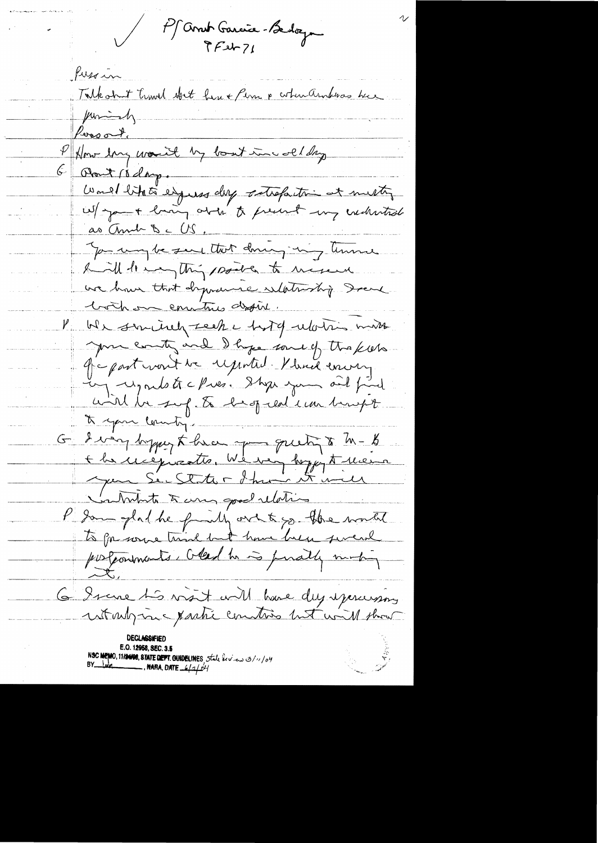Pf Andr Garcie Bedoz Pussin Talkohut travel abet her + Perm & cohenders here  $\mu$ mindy Peresort, How long would by bout incolleting Obout 10 days.  $\left|\mathcal{G}\right|$ Would like eigens der strefactor at metty as And De US. You way be seen that down, my time haill be my thing points to mexical we have that dynamic selationship Drame both on contro define. V We sincered tech e host de votris miss you country and I hope some of the kiess Je part vont de reported Kland errory. ing upoule tre Pres. Shop you and find will be sup to be of ear in hupt. to your country. G ding bypy there you greety to M-B<br>+ he usequents, We very bypy to their intente à une goud relation P gam plat he findly out to go the world to go some time but how here sweak portaments, oted to is prially much 6 8 rue 15 visit will bace des assessions E.O. 12958, SEC. 3.5 NSC MEMO, 11/24/08, STATE DEPT. GUIDELINES State for deal 3/11/04